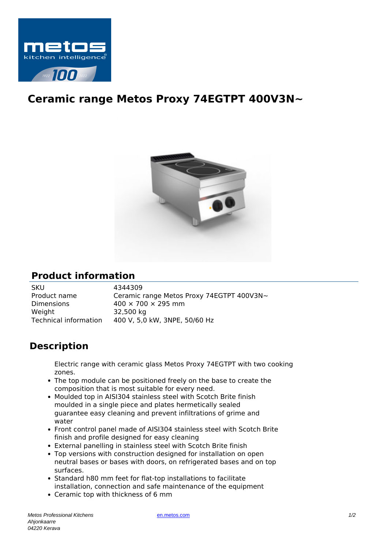

## **Ceramic range Metos Proxy 74EGTPT 400V3N~**



## **Product information**

SKU 4344309<br>Product name Ceramic Ceramic range Metos Proxy 74EGTPT 400V3N~ Dimensions  $400 \times 700 \times 295$  mm Weight 32,500 kg Technical information 400 V, 5,0 kW, 3NPE, 50/60 Hz

## **Description**

Electric range with ceramic glass Metos Proxy 74EGTPT with two cooking zones.

- The top module can be positioned freely on the base to create the composition that is most suitable for every need.
- Moulded top in AISI304 stainless steel with Scotch Brite finish moulded in a single piece and plates hermetically sealed guarantee easy cleaning and prevent infiltrations of grime and water
- Front control panel made of AISI304 stainless steel with Scotch Brite finish and profile designed for easy cleaning
- External panelling in stainless steel with Scotch Brite finish
- Top versions with construction designed for installation on open neutral bases or bases with doors, on refrigerated bases and on top surfaces.
- Standard h80 mm feet for flat-top installations to facilitate installation, connection and safe maintenance of the equipment
- Ceramic top with thickness of 6 mm